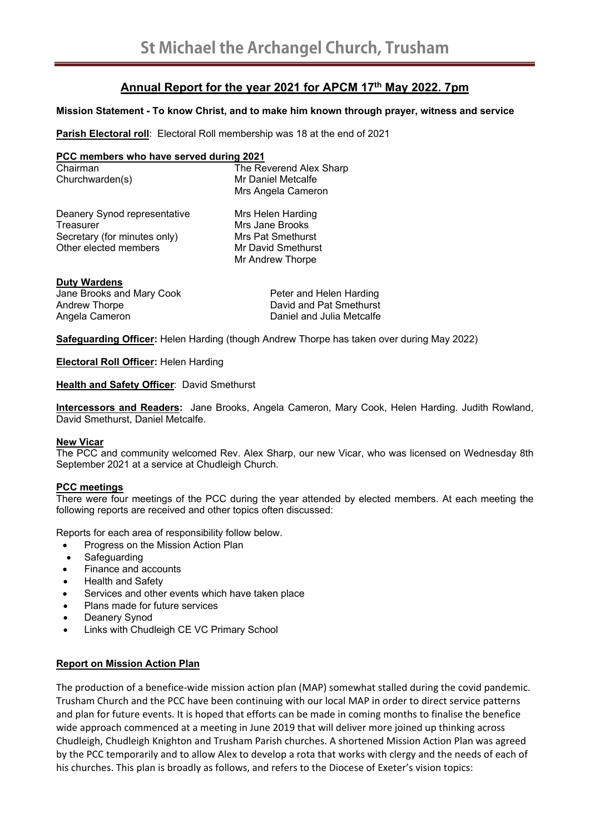# **Annual Report for the year 2021 for APCM 17th May 2022. 7pm**

## **Mission Statement - To know Christ, and to make him known through prayer, witness and service**

**Parish Electoral roll**: Electoral Roll membership was 18 at the end of 2021

### **PCC members who have served during 2021**

Chairman The Reverend Alex Sharp Churchwarden(s) Mr Daniel Metcalfe Mrs Angela Cameron

Deanery Synod representative Mrs Helen Harding Treasurer Mrs Jane Brooks Secretary (for minutes only) Mrs Pat Smethurst Other elected members Mr David Smethurst

Mr Andrew Thorpe

### **Duty Wardens**

Jane Brooks and Mary Cook Peter and Helen Harding Andrew Thorpe **David and Pat Smethurst** Angela Cameron **Daniel and Julia Metcalfe** 

**Safeguarding Officer:** Helen Harding (though Andrew Thorpe has taken over during May 2022)

**Electoral Roll Officer:** Helen Harding

**Health and Safety Officer: David Smethurst** 

**Intercessors and Readers:** Jane Brooks, Angela Cameron, Mary Cook, Helen Harding. Judith Rowland, David Smethurst, Daniel Metcalfe.

#### **New Vicar**

The PCC and community welcomed Rev. Alex Sharp, our new Vicar, who was licensed on Wednesday 8th September 2021 at a service at Chudleigh Church.

### **PCC meetings**

There were four meetings of the PCC during the year attended by elected members. At each meeting the following reports are received and other topics often discussed:

Reports for each area of responsibility follow below.

- Progress on the Mission Action Plan
- Safeguarding
- Finance and accounts
- Health and Safety
- Services and other events which have taken place
- Plans made for future services
- Deanery Synod
- Links with Chudleigh CE VC Primary School

### **Report on Mission Action Plan**

The production of a benefice-wide mission action plan (MAP) somewhat stalled during the covid pandemic. Trusham Church and the PCC have been continuing with our local MAP in order to direct service patterns and plan for future events. It is hoped that efforts can be made in coming months to finalise the benefice wide approach commenced at a meeting in June 2019 that will deliver more joined up thinking across Chudleigh, Chudleigh Knighton and Trusham Parish churches. A shortened Mission Action Plan was agreed by the PCC temporarily and to allow Alex to develop a rota that works with clergy and the needs of each of his churches. This plan is broadly as follows, and refers to the Diocese of Exeter's vision topics: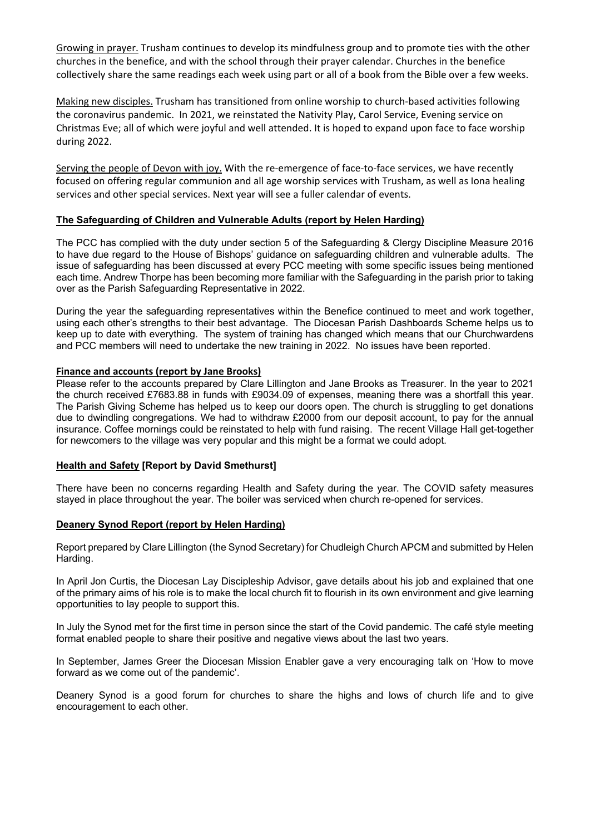Growing in prayer. Trusham continues to develop its mindfulness group and to promote ties with the other churches in the benefice, and with the school through their prayer calendar. Churches in the benefice collectively share the same readings each week using part or all of a book from the Bible over a few weeks.

Making new disciples. Trusham has transitioned from online worship to church‐based activities following the coronavirus pandemic. In 2021, we reinstated the Nativity Play, Carol Service, Evening service on Christmas Eve; all of which were joyful and well attended. It is hoped to expand upon face to face worship during 2022.

Serving the people of Devon with joy. With the re-emergence of face-to-face services, we have recently focused on offering regular communion and all age worship services with Trusham, as well as Iona healing services and other special services. Next year will see a fuller calendar of events.

### **The Safeguarding of Children and Vulnerable Adults (report by Helen Harding)**

The PCC has complied with the duty under section 5 of the Safeguarding & Clergy Discipline Measure 2016 to have due regard to the House of Bishops' guidance on safeguarding children and vulnerable adults. The issue of safeguarding has been discussed at every PCC meeting with some specific issues being mentioned each time. Andrew Thorpe has been becoming more familiar with the Safeguarding in the parish prior to taking over as the Parish Safeguarding Representative in 2022.

During the year the safeguarding representatives within the Benefice continued to meet and work together, using each other's strengths to their best advantage. The Diocesan Parish Dashboards Scheme helps us to keep up to date with everything. The system of training has changed which means that our Churchwardens and PCC members will need to undertake the new training in 2022. No issues have been reported.

### **Finance and accounts (report by Jane Brooks)**

Please refer to the accounts prepared by Clare Lillington and Jane Brooks as Treasurer. In the year to 2021 the church received £7683.88 in funds with £9034.09 of expenses, meaning there was a shortfall this year. The Parish Giving Scheme has helped us to keep our doors open. The church is struggling to get donations due to dwindling congregations. We had to withdraw £2000 from our deposit account, to pay for the annual insurance. Coffee mornings could be reinstated to help with fund raising. The recent Village Hall get-together for newcomers to the village was very popular and this might be a format we could adopt.

### **Health and Safety [Report by David Smethurst]**

There have been no concerns regarding Health and Safety during the year. The COVID safety measures stayed in place throughout the year. The boiler was serviced when church re-opened for services.

#### **Deanery Synod Report (report by Helen Harding)**

Report prepared by Clare Lillington (the Synod Secretary) for Chudleigh Church APCM and submitted by Helen Harding.

In April Jon Curtis, the Diocesan Lay Discipleship Advisor, gave details about his job and explained that one of the primary aims of his role is to make the local church fit to flourish in its own environment and give learning opportunities to lay people to support this.

In July the Synod met for the first time in person since the start of the Covid pandemic. The café style meeting format enabled people to share their positive and negative views about the last two years.

In September, James Greer the Diocesan Mission Enabler gave a very encouraging talk on 'How to move forward as we come out of the pandemic'.

Deanery Synod is a good forum for churches to share the highs and lows of church life and to give encouragement to each other.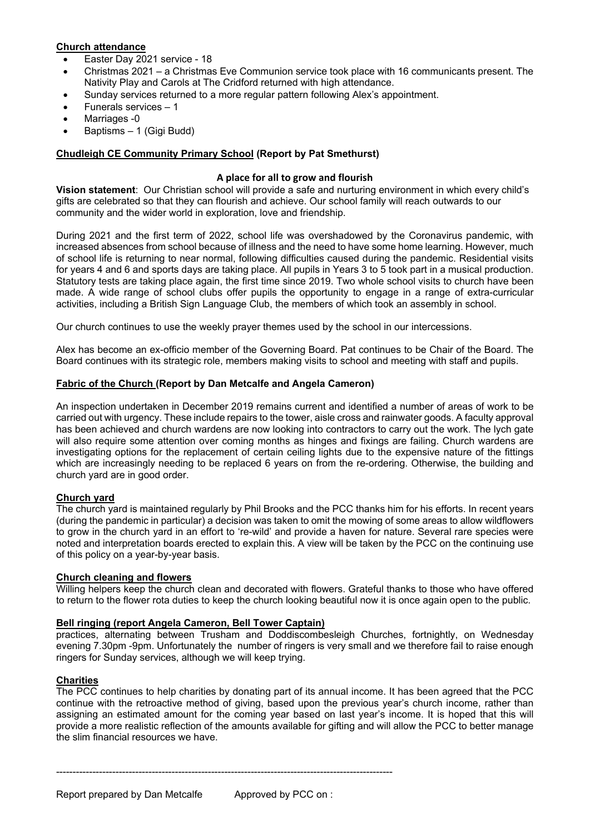## **Church attendance**

- Easter Day 2021 service 18
- Christmas 2021 a Christmas Eve Communion service took place with 16 communicants present. The Nativity Play and Carols at The Cridford returned with high attendance.
- Sunday services returned to a more regular pattern following Alex's appointment.
- Funerals services 1
- Marriages -0
- Baptisms 1 (Gigi Budd)

# **Chudleigh CE Community Primary School (Report by Pat Smethurst)**

### **A place for all to grow and flourish**

**Vision statement**: Our Christian school will provide a safe and nurturing environment in which every child's gifts are celebrated so that they can flourish and achieve. Our school family will reach outwards to our community and the wider world in exploration, love and friendship.

During 2021 and the first term of 2022, school life was overshadowed by the Coronavirus pandemic, with increased absences from school because of illness and the need to have some home learning. However, much of school life is returning to near normal, following difficulties caused during the pandemic. Residential visits for years 4 and 6 and sports days are taking place. All pupils in Years 3 to 5 took part in a musical production. Statutory tests are taking place again, the first time since 2019. Two whole school visits to church have been made. A wide range of school clubs offer pupils the opportunity to engage in a range of extra-curricular activities, including a British Sign Language Club, the members of which took an assembly in school.

Our church continues to use the weekly prayer themes used by the school in our intercessions.

Alex has become an ex-officio member of the Governing Board. Pat continues to be Chair of the Board. The Board continues with its strategic role, members making visits to school and meeting with staff and pupils.

### **Fabric of the Church (Report by Dan Metcalfe and Angela Cameron)**

An inspection undertaken in December 2019 remains current and identified a number of areas of work to be carried out with urgency. These include repairs to the tower, aisle cross and rainwater goods. A faculty approval has been achieved and church wardens are now looking into contractors to carry out the work. The lych gate will also require some attention over coming months as hinges and fixings are failing. Church wardens are investigating options for the replacement of certain ceiling lights due to the expensive nature of the fittings which are increasingly needing to be replaced 6 years on from the re-ordering. Otherwise, the building and church yard are in good order.

### **Church yard**

The church yard is maintained regularly by Phil Brooks and the PCC thanks him for his efforts. In recent years (during the pandemic in particular) a decision was taken to omit the mowing of some areas to allow wildflowers to grow in the church yard in an effort to 're-wild' and provide a haven for nature. Several rare species were noted and interpretation boards erected to explain this. A view will be taken by the PCC on the continuing use of this policy on a year-by-year basis.

#### **Church cleaning and flowers**

Willing helpers keep the church clean and decorated with flowers. Grateful thanks to those who have offered to return to the flower rota duties to keep the church looking beautiful now it is once again open to the public.

### **Bell ringing (report Angela Cameron, Bell Tower Captain)**

practices, alternating between Trusham and Doddiscombesleigh Churches, fortnightly, on Wednesday evening 7.30pm -9pm. Unfortunately the number of ringers is very small and we therefore fail to raise enough ringers for Sunday services, although we will keep trying.

# **Charities**

The PCC continues to help charities by donating part of its annual income. It has been agreed that the PCC continue with the retroactive method of giving, based upon the previous year's church income, rather than assigning an estimated amount for the coming year based on last year's income. It is hoped that this will provide a more realistic reflection of the amounts available for gifting and will allow the PCC to better manage the slim financial resources we have.

------------------------------------------------------------------------------------------------------